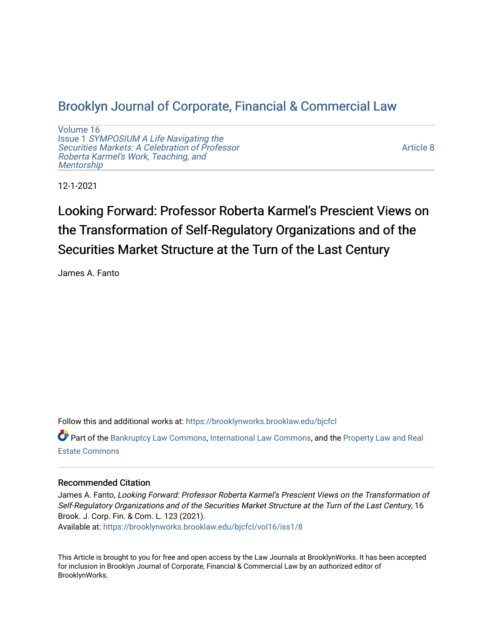# [Brooklyn Journal of Corporate, Financial & Commercial Law](https://brooklynworks.brooklaw.edu/bjcfcl)

[Volume 16](https://brooklynworks.brooklaw.edu/bjcfcl/vol16) Issue 1 [SYMPOSIUM A Life Navigating the](https://brooklynworks.brooklaw.edu/bjcfcl/vol16/iss1) [Securities Markets: A Celebration of Professor](https://brooklynworks.brooklaw.edu/bjcfcl/vol16/iss1) [Roberta Karmel's Work, Teaching, and](https://brooklynworks.brooklaw.edu/bjcfcl/vol16/iss1)  **Mentorship** 

[Article 8](https://brooklynworks.brooklaw.edu/bjcfcl/vol16/iss1/8) 

12-1-2021

Looking Forward: Professor Roberta Karmel's Prescient Views on the Transformation of Self-Regulatory Organizations and of the Securities Market Structure at the Turn of the Last Century

James A. Fanto

Follow this and additional works at: [https://brooklynworks.brooklaw.edu/bjcfcl](https://brooklynworks.brooklaw.edu/bjcfcl?utm_source=brooklynworks.brooklaw.edu%2Fbjcfcl%2Fvol16%2Fiss1%2F8&utm_medium=PDF&utm_campaign=PDFCoverPages)

Part of the [Bankruptcy Law Commons,](http://network.bepress.com/hgg/discipline/583?utm_source=brooklynworks.brooklaw.edu%2Fbjcfcl%2Fvol16%2Fiss1%2F8&utm_medium=PDF&utm_campaign=PDFCoverPages) [International Law Commons](http://network.bepress.com/hgg/discipline/609?utm_source=brooklynworks.brooklaw.edu%2Fbjcfcl%2Fvol16%2Fiss1%2F8&utm_medium=PDF&utm_campaign=PDFCoverPages), and the [Property Law and Real](http://network.bepress.com/hgg/discipline/897?utm_source=brooklynworks.brooklaw.edu%2Fbjcfcl%2Fvol16%2Fiss1%2F8&utm_medium=PDF&utm_campaign=PDFCoverPages)  [Estate Commons](http://network.bepress.com/hgg/discipline/897?utm_source=brooklynworks.brooklaw.edu%2Fbjcfcl%2Fvol16%2Fiss1%2F8&utm_medium=PDF&utm_campaign=PDFCoverPages) 

## Recommended Citation

James A. Fanto, Looking Forward: Professor Roberta Karmel's Prescient Views on the Transformation of Self-Regulatory Organizations and of the Securities Market Structure at the Turn of the Last Century, 16 Brook. J. Corp. Fin. & Com. L. 123 (2021). Available at: [https://brooklynworks.brooklaw.edu/bjcfcl/vol16/iss1/8](https://brooklynworks.brooklaw.edu/bjcfcl/vol16/iss1/8?utm_source=brooklynworks.brooklaw.edu%2Fbjcfcl%2Fvol16%2Fiss1%2F8&utm_medium=PDF&utm_campaign=PDFCoverPages)

This Article is brought to you for free and open access by the Law Journals at BrooklynWorks. It has been accepted for inclusion in Brooklyn Journal of Corporate, Financial & Commercial Law by an authorized editor of BrooklynWorks.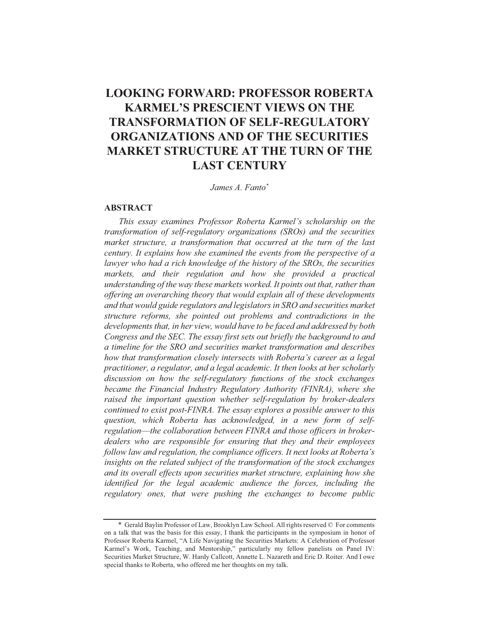# **LOOKING FORWARD: PROFESSOR ROBERTA KARMEL'S PRESCIENT VIEWS ON THE TRANSFORMATION OF SELF-REGULATORY ORGANIZATIONS AND OF THE SECURITIES MARKET STRUCTURE AT THE TURN OF THE LAST CENTURY**

James A. Fanto\*

#### **ABSTRACT**

This essay examines Professor Roberta Karmel's scholarship on the transformation of self-regulatory organizations (SROs) and the securities market structure, a transformation that occurred at the turn of the last century. It explains how she examined the events from the perspective of a lawyer who had a rich knowledge of the history of the SROs, the securities markets, and their regulation and how she provided a practical understanding of the way these markets worked. It points out that, rather than offering an overarching theory that would explain all of these developments and that would guide regulators and legislators in SRO and securities market structure reforms, she pointed out problems and contradictions in the developments that, in her view, would have to be faced and addressed by both Congress and the SEC. The essay first sets out briefly the background to and a timeline for the SRO and securities market transformation and describes how that transformation closely intersects with Roberta's career as a legal practitioner, a regulator, and a legal academic. It then looks at her scholarly discussion on how the self-regulatory functions of the stock exchanges became the Financial Industry Regulatory Authority (FINRA), where she raised the important question whether self-regulation by broker-dealers continued to exist post-FINRA. The essay explores a possible answer to this question, which Roberta has acknowledged, in a new form of selfregulation—the collaboration between FINRA and those officers in brokerdealers who are responsible for ensuring that they and their employees follow law and regulation, the compliance officers. It next looks at Roberta's insights on the related subject of the transformation of the stock exchanges and its overall effects upon securities market structure, explaining how she identified for the legal academic audience the forces, including the regulatory ones, that were pushing the exchanges to become public

<sup>\*</sup> Gerald Baylin Professor of Law, Brooklyn Law School. All rights reserved © For comments on a talk that was the basis for this essay, I thank the participants in the symposium in honor of Professor Roberta Karmel, "A Life Navigating the Securities Markets: A Celebration of Professor Karmel's Work, Teaching, and Mentorship," particularly my fellow panelists on Panel IV: Securities Market Structure, W. Hardy Callcott, Annette L. Nazareth and Eric D. Roiter. And I owe special thanks to Roberta, who offered me her thoughts on my talk.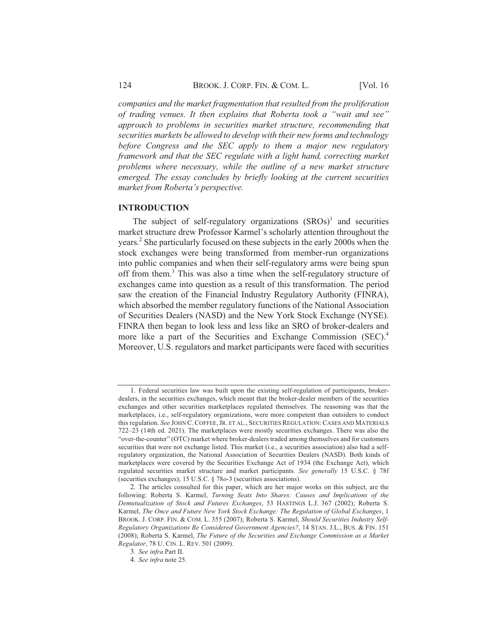companies and the market fragmentation that resulted from the proliferation of trading venues. It then explains that Roberta took a "wait and see" approach to problems in securities market structure, recommending that securities markets be allowed to develop with their new forms and technology before Congress and the SEC apply to them a major new regulatory framework and that the SEC regulate with a light hand, correcting market problems where necessary, while the outline of a new market structure emerged. The essay concludes by briefly looking at the current securities market from Roberta's perspective.

#### **INTRODUCTION**

The subject of self-regulatory organizations  $(SROS)^1$  and securities market structure drew Professor Karmel's scholarly attention throughout the years.<sup>2</sup> She particularly focused on these subjects in the early 2000s when the stock exchanges were being transformed from member-run organizations into public companies and when their self-regulatory arms were being spun off from them.<sup>3</sup> This was also a time when the self-regulatory structure of exchanges came into question as a result of this transformation. The period saw the creation of the Financial Industry Regulatory Authority (FINRA), which absorbed the member regulatory functions of the National Association of Securities Dealers (NASD) and the New York Stock Exchange (NYSE). FINRA then began to look less and less like an SRO of broker-dealers and more like a part of the Securities and Exchange Commission (SEC).<sup>4</sup> Moreover, U.S. regulators and market participants were faced with securities

<sup>1.</sup> Federal securities law was built upon the existing self-regulation of participants, brokerdealers, in the securities exchanges, which meant that the broker-dealer members of the securities exchanges and other securities marketplaces regulated themselves. The reasoning was that the marketplaces, i.e., self-regulatory organizations, were more competent than outsiders to conduct this regulation. See JOHN C. COFFEE, JR. ET AL., SECURITIES REGULATION: CASES AND MATERIALS 722–23 (14th ed. 2021). The marketplaces were mostly securities exchanges. There was also the "over-the-counter" (OTC) market where broker-dealers traded among themselves and for customers securities that were not exchange listed. This market (i.e., a securities association) also had a selfregulatory organization, the National Association of Securities Dealers (NASD). Both kinds of marketplaces were covered by the Securities Exchange Act of 1934 (the Exchange Act), which regulated securities market structure and market participants. See generally 15 U.S.C. § 78f (securities exchanges); 15 U.S.C. § 78o-3 (securities associations).

<sup>2.</sup> The articles consulted for this paper, which are her major works on this subject, are the following: Roberta S. Karmel, Turning Seats Into Shares: Causes and Implications of the Demutualization of Stock and Futures Exchanges, 53 HASTINGS L.J. 367 (2002); Roberta S. Karmel, The Once and Future New York Stock Exchange: The Regulation of Global Exchanges, 1 BROOK. J. CORP. FIN. & COM. L. 355 (2007); Roberta S. Karmel, Should Securities Industry Self-Regulatory Organizations Be Considered Government Agencies?, 14 STAN. J.L., BUS. & FIN. 151 (2008); Roberta S. Karmel, The Future of the Securities and Exchange Commission as a Market Regulator, 78 U. CIN. L. REV. 501 (2009).

<sup>3.</sup> See infra Part II.

<sup>4.</sup> See infra note 25.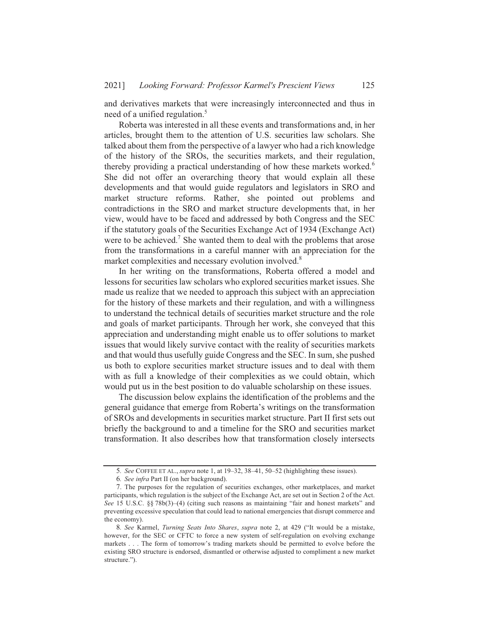and derivatives markets that were increasingly interconnected and thus in need of a unified regulation.<sup>5</sup>

Roberta was interested in all these events and transformations and, in her articles, brought them to the attention of U.S. securities law scholars. She articles, brought them to the attention of 0.3. securities law scholars. She<br>talked about them from the perspective of a lawyer who had a rich knowledge of the history of the SROs, the securities markets, and their regulation, or the instory or the sigmust the securities markets, and their regulation,<br>thereby providing a practical understanding of how these markets worked.<sup>6</sup> She did not offer an overarching theory that would explain all these developments and that would guide regulators and legislators in SRO and market structure reforms. Rather, she pointed out problems and contradictions in the SRO and market structure developments that, in her Figure 2.1 The U.S. C. and Thanker structure developments that, in her view, would have to be faced and addressed by both Congress and the SEC Tew, would have to be faced and addressed by both Congress and the SEC<br>f the statutory goals of the Securities Exchange Act of 1934 (Exchange Act) were to be achieved.<sup>7</sup> She wanted them to deal with the problems that arose from the transformations in a careful manner with an appreciation for the market complexities and necessary evolution involved.<sup>8</sup>

In her writing on the transformations, Roberta offered a model and lessons for securities law scholars who explored securities market issues. She made us realize that we needed to approach this subject with an appreciation for the history of these markets and their regulation, and with a willingness to understand the technical details of securities market structure and the role and goals of market participants. Through her work, she conveyed that this appreciation and understanding might enable us to offer solutions to market issues that would likely survive contact with the reality of securities markets and that would thus usefully guide Congress and the SEC. In sum, she pushed us both to explore securities market structure issues and to deal with them with as full a knowledge of their complexities as we could obtain, which would put us in the best position to do valuable scholarship on these issues.

The discussion below explains the identification of the problems and the I he discussion below explains the identification of the problems and the<br>general guidance that emerge from Roberta's writings on the transformation of SROs and developments in securities market structure. Part II first sets out briefly the background to and a timeline for the SRO and securities market transformation. It also describes how that transformation closely intersects

<sup>5.</sup> See COFFEE ET AL., *supra* note 1, at 19–32, 38–41, 50–52 (highlighting these issues).

<sup>3.</sup> *See* COFFEE ET AL., *supra* note 1, at 1<br>6. *See infra* Part II (on her background).

<sup>7.</sup> The purposes for the regulation of securities exchanges, other marketplaces, and market  $\lambda$ . The purposes for the regulation of securities exchanges, other marketplaces, and market  $\lambda$  and the Act. See 15 U.S.C.  $\S$   $78b(3)$ –(4) (citing such reasons as maintaining "fair and honest markets" and bee 15 O.S.C.  $\frac{1}{88}$  /80(5)–(4) (clting such reasons as manufaming and and nonest markets and<br>preventing excessive speculation that could lead to national emergencies that disrupt commerce and the economy).

conomy).<br>8. *See* Karmel. *Turning Seats Into Shares, supra* note 2, at 429 ("It would be a mistake. however, for the SEC or CFTC to force a new system of self-regulation on evolving exchange  $\mu$  mowever, for the SEC of CFTC to force a new system of sen-regulation on evolving exchange<br>markets ... The form of tomorrow's trading markets should be permitted to evolve before the  $\mu$  markets . . . The form of tomorrow s trading markets should be permitted to evolve before the existing SRO structure is endorsed, dismantled or otherwise adjusted to compliment a new market structure.").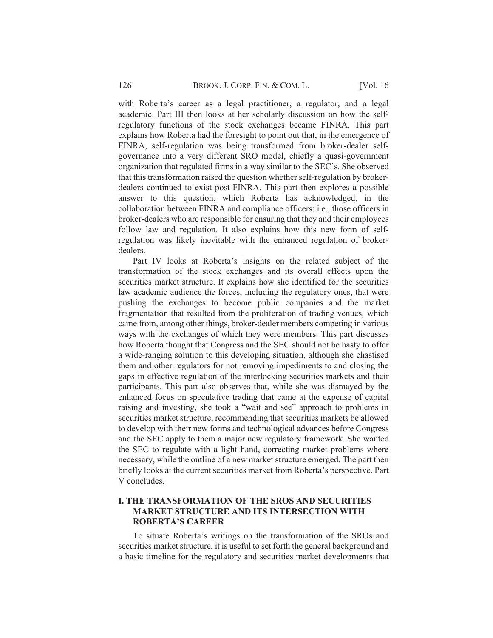with Roberta's career as a legal practitioner, a regulator, and a legal academic. Part III then looks at her scholarly discussion on how the selfregulatory functions of the stock exchanges became FINRA. This part explains how Roberta had the foresight to point out that, in the emergence of FINRA, self-regulation was being transformed from broker-dealer selfgovernance into a very different SRO model, chiefly a quasi-government organization that regulated firms in a way similar to the SEC's. She observed that this transformation raised the question whether self-regulation by brokerdealers continued to exist post-FINRA. This part then explores a possible answer to this question, which Roberta has acknowledged, in the collaboration between FINRA and compliance officers: i.e., those officers in broker-dealers who are responsible for ensuring that they and their employees follow law and regulation. It also explains how this new form of selfregulation was likely inevitable with the enhanced regulation of brokerdealers.

Part IV looks at Roberta's insights on the related subject of the transformation of the stock exchanges and its overall effects upon the securities market structure. It explains how she identified for the securities law academic audience the forces, including the regulatory ones, that were pushing the exchanges to become public companies and the market fragmentation that resulted from the proliferation of trading venues, which came from, among other things, broker-dealer members competing in various ways with the exchanges of which they were members. This part discusses how Roberta thought that Congress and the SEC should not be hasty to offer a wide-ranging solution to this developing situation, although she chastised them and other regulators for not removing impediments to and closing the gaps in effective regulation of the interlocking securities markets and their participants. This part also observes that, while she was dismayed by the enhanced focus on speculative trading that came at the expense of capital raising and investing, she took a "wait and see" approach to problems in securities market structure, recommending that securities markets be allowed to develop with their new forms and technological advances before Congress and the SEC apply to them a major new regulatory framework. She wanted the SEC to regulate with a light hand, correcting market problems where necessary, while the outline of a new market structure emerged. The part then briefly looks at the current securities market from Roberta's perspective. Part V concludes

# **I. THE TRANSFORMATION OF THE SROS AND SECURITIES MARKET STRUCTURE AND ITS INTERSECTION WITH ROBERTA'S CAREER**

To situate Roberta's writings on the transformation of the SROs and securities market structure, it is useful to set forth the general background and a basic timeline for the regulatory and securities market developments that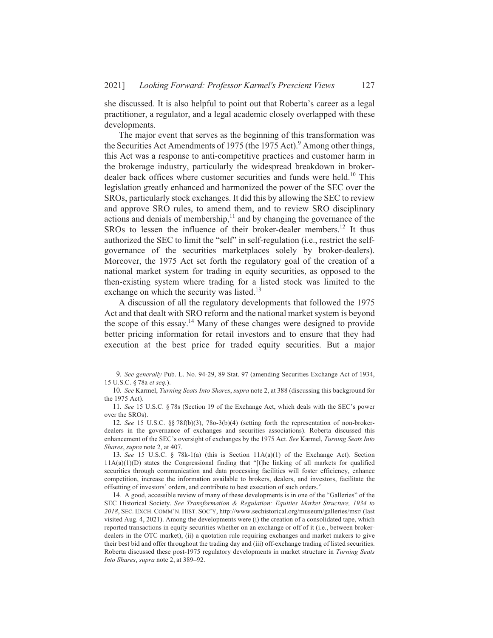she discussed. It is also helpful to point out that Roberta's career as a legal practitioner, a regulator, and a legal academic closely overlapped with these developments.

The major event that serves as the beginning of this transformation was the Securities Act Amendments of 1975 (the 1975 Act).<sup>9</sup> Among other things, this Act was a response to anti-competitive practices and customer harm in the brokerage industry, particularly the widespread breakdown in brokerdealer back offices where customer securities and funds were held.<sup>10</sup> This legislation greatly enhanced and harmonized the power of the SEC over the SROs, particularly stock exchanges. It did this by allowing the SEC to review and approve SRO rules, to amend them, and to review SRO disciplinary actions and denials of membership, $\frac{1}{1}$  and by changing the governance of the SROs to lessen the influence of their broker-dealer members.<sup>12</sup> It thus authorized the SEC to limit the "self" in self-regulation (i.e., restrict the selfgovernance of the securities marketplaces solely by broker-dealers). Moreover, the 1975 Act set forth the regulatory goal of the creation of a national market system for trading in equity securities, as opposed to the then-existing system where trading for a listed stock was limited to the exchange on which the security was listed.<sup>13</sup>

A discussion of all the regulatory developments that followed the 1975 Act and that dealt with SRO reform and the national market system is beyond the scope of this essay.<sup>14</sup> Many of these changes were designed to provide better pricing information for retail investors and to ensure that they had execution at the best price for traded equity securities. But a major

<sup>9.</sup> See generally Pub. L. No. 94-29, 89 Stat. 97 (amending Securities Exchange Act of 1934, 15 U.S.C. § 78a et seq.).

<sup>10.</sup> See Karmel, Turning Seats Into Shares, supra note 2, at 388 (discussing this background for the 1975 Act).

<sup>11.</sup> See 15 U.S.C. § 78s (Section 19 of the Exchange Act, which deals with the SEC's power over the SROs).

<sup>12.</sup> See 15 U.S.C. §§ 78f(b)(3), 78o-3(b)(4) (setting forth the representation of non-brokerdealers in the governance of exchanges and securities associations). Roberta discussed this enhancement of the SEC's oversight of exchanges by the 1975 Act. See Karmel, Turning Seats Into Shares, supra note 2, at 407.

<sup>13.</sup> See 15 U.S.C. § 78k-1(a) (this is Section  $11A(a)(1)$  of the Exchange Act). Section  $11A(a)(1)(D)$  states the Congressional finding that "[t]he linking of all markets for qualified securities through communication and data processing facilities will foster efficiency, enhance competition, increase the information available to brokers, dealers, and investors, facilitate the offsetting of investors' orders, and contribute to best execution of such orders."

<sup>14.</sup> A good, accessible review of many of these developments is in one of the "Galleries" of the SEC Historical Society. See Transformation & Regulation: Equities Market Structure, 1934 to 2018, SEC. EXCH. COMM'N. HIST. SOC'Y, http://www.sechistorical.org/museum/galleries/msr/ (last visited Aug. 4, 2021). Among the developments were (i) the creation of a consolidated tape, which reported transactions in equity securities whether on an exchange or off of it (i.e., between brokerdealers in the OTC market), (ii) a quotation rule requiring exchanges and market makers to give their best bid and offer throughout the trading day and (iii) off-exchange trading of listed securities. Roberta discussed these post-1975 regulatory developments in market structure in Turning Seats Into Shares, supra note 2, at 389-92.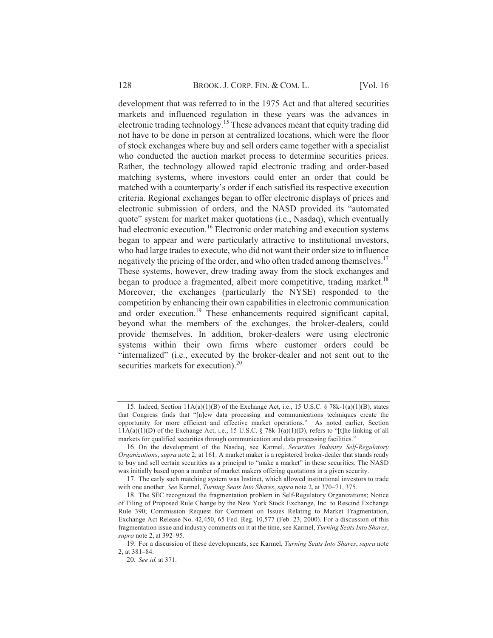development that was referred to in the 1975 Act and that altered securities markets and influenced regulation in these years was the advances in electronic trading technology.<sup>15</sup> These advances meant that equity trading did not have to be done in person at centralized locations, which were the floor of stock exchanges where buy and sell orders came together with a specialist who conducted the auction market process to determine securities prices. Rather, the technology allowed rapid electronic trading and order-based matching systems, where investors could enter an order that could be matched with a counterparty's order if each satisfied its respective execution criteria. Regional exchanges began to offer electronic displays of prices and electronic submission of orders, and the NASD provided its "automated quote" system for market maker quotations (i.e., Nasdaq), which eventually had electronic execution.<sup>16</sup> Electronic order matching and execution systems began to appear and were particularly attractive to institutional investors, who had large trades to execute, who did not want their order size to influence negatively the pricing of the order, and who often traded among themselves.<sup>17</sup> These systems, however, drew trading away from the stock exchanges and began to produce a fragmented, albeit more competitive, trading market.<sup>18</sup> Moreover, the exchanges (particularly the NYSE) responded to the competition by enhancing their own capabilities in electronic communication and order execution.<sup>19</sup> These enhancements required significant capital, beyond what the members of the exchanges, the broker-dealers, could provide themselves. In addition, broker-dealers were using electronic systems within their own firms where customer orders could be "internalized" (i.e., executed by the broker-dealer and not sent out to the securities markets for execution). $^{20}$ 

<sup>15.</sup> Indeed, Section  $11A(a)(1)(B)$  of the Exchange Act, i.e., 15 U.S.C. § 78k-1(a)(1)(B), states that Congress finds that "[n]ew data processing and communications techniques create the opportunity for more efficient and effective market operations." As noted earlier, Section  $11A(a)(1)(D)$  of the Exchange Act, i.e., 15 U.S.C. § 78k-1(a)(1)(D), refers to "[t]he linking of all markets for qualified securities through communication and data processing facilities."

<sup>16.</sup> On the development of the Nasdaq, see Karmel, Securities Industry Self-Regulatory Organizations, supra note 2, at 161. A market maker is a registered broker-dealer that stands ready to buy and sell certain securities as a principal to "make a market" in these securities. The NASD was initially based upon a number of market makers offering quotations in a given security.

<sup>17.</sup> The early such matching system was Instinet, which allowed institutional investors to trade with one another. See Karmel, Turning Seats Into Shares, supra note 2, at 370–71, 375.

<sup>18.</sup> The SEC recognized the fragmentation problem in Self-Regulatory Organizations; Notice of Filing of Proposed Rule Change by the New York Stock Exchange, Inc. to Rescind Exchange Rule 390; Commission Request for Comment on Issues Relating to Market Fragmentation, Exchange Act Release No. 42,450, 65 Fed. Reg. 10,577 (Feb. 23, 2000). For a discussion of this fragmentation issue and industry comments on it at the time, see Karmel, Turning Seats Into Shares, supra note 2, at 392-95.

<sup>19.</sup> For a discussion of these developments, see Karmel, Turning Seats Into Shares, supra note 2, at 381-84.

<sup>20.</sup> See id. at 371.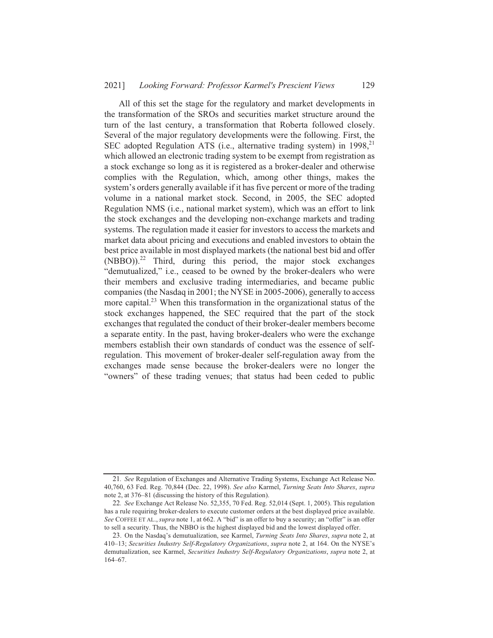#### 20211 Looking Forward: Professor Karmel's Prescient Views 129

All of this set the stage for the regulatory and market developments in the transformation of the SROs and securities market structure around the turn of the last century, a transformation that Roberta followed closely. Several of the major regulatory developments were the following. First, the SEC adopted Regulation ATS (i.e., alternative trading system) in 1998,<sup>21</sup> which allowed an electronic trading system to be exempt from registration as a stock exchange so long as it is registered as a broker-dealer and otherwise complies with the Regulation, which, among other things, makes the system's orders generally available if it has five percent or more of the trading volume in a national market stock. Second, in 2005, the SEC adopted Regulation NMS (i.e., national market system), which was an effort to link the stock exchanges and the developing non-exchange markets and trading systems. The regulation made it easier for investors to access the markets and market data about pricing and executions and enabled investors to obtain the best price available in most displayed markets (the national best bid and offer  $(NBBO)$ ).<sup>22</sup> Third, during this period, the major stock exchanges "demutualized," i.e., ceased to be owned by the broker-dealers who were their members and exclusive trading intermediaries, and became public companies (the Nasdaq in 2001; the NYSE in 2005-2006), generally to access more capital.<sup>23</sup> When this transformation in the organizational status of the stock exchanges happened, the SEC required that the part of the stock exchanges that regulated the conduct of their broker-dealer members become a separate entity. In the past, having broker-dealers who were the exchange members establish their own standards of conduct was the essence of selfregulation. This movement of broker-dealer self-regulation away from the exchanges made sense because the broker-dealers were no longer the "owners" of these trading venues; that status had been ceded to public

<sup>21.</sup> See Regulation of Exchanges and Alternative Trading Systems, Exchange Act Release No. 40,760, 63 Fed. Reg. 70,844 (Dec. 22, 1998). See also Karmel, Turning Seats Into Shares, supra note 2, at 376–81 (discussing the history of this Regulation).

<sup>22.</sup> See Exchange Act Release No. 52,355, 70 Fed. Reg. 52,014 (Sept. 1, 2005). This regulation has a rule requiring broker-dealers to execute customer orders at the best displayed price available. See COFFEE ET AL., supra note 1, at 662. A "bid" is an offer to buy a security; an "offer" is an offer to sell a security. Thus, the NBBO is the highest displayed bid and the lowest displayed offer.

<sup>23.</sup> On the Nasdaq's demutualization, see Karmel, Turning Seats Into Shares, supra note 2, at 410-13; Securities Industry Self-Regulatory Organizations, supra note 2, at 164. On the NYSE's demutualization, see Karmel, Securities Industry Self-Regulatory Organizations, supra note 2, at  $164 - 67$ .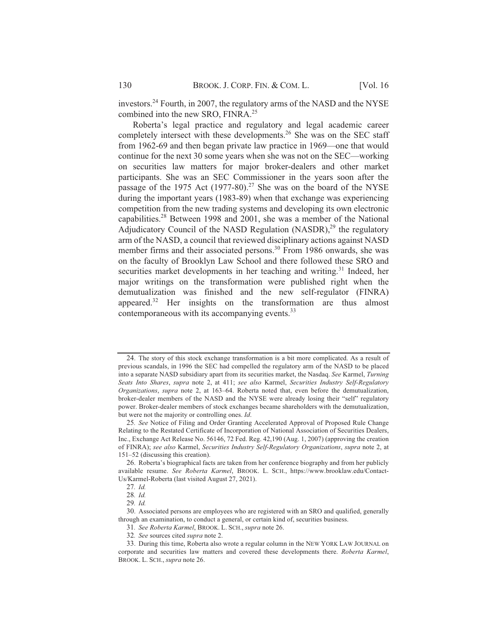investors.<sup>24</sup> Fourth, in 2007, the regulatory arms of the NASD and the NYSE mvestors. Fourth, in 2007, the regulated into the new SRO. FINRA.<sup>25</sup>

Roberta's legal practice and regulatory and legal academic career Roberta S regar practice and regulatory and regar academic career<br>completely intersect with these developments.<sup>26</sup> She was on the SEC staff completely intersect with these developments. Sile was on the SEC start<br>from 1962-69 and then began private law practice in 1969—one that would noin 1902-09 and then began private law practice in 1909—one that would<br>continue for the next 30 some vears when she was not on the SEC—working on securities law matters for major broker-dealers and other market participants. She was an SEC Commissioner in the years soon after the participants. She was an SEC Commissioner in the years soon after the passage of the 1975 Act  $(1977-80)^{27}$  She was on the board of the NYSE during the important years (1983-89) when that exchange was experiencing competition from the new trading systems and developing its own electronic competition from the new trading systems and developing its own electronic<br>capabilities.<sup>28</sup> Between 1998 and 2001, she was a member of the National capabilities. Between 1996 and 2001, sile was a member of the National<br>Adjudicatory Council of the NASD Regulation (NASDR).<sup>29</sup> the regulatory Adjudicatory Council of the NASD Regulation (NASDR), the regulatory<br>arm of the NASD, a council that reviewed disciplinary actions against NASD and of the ty ASD, a council that reviewed disciplinary actions against ty ASD<br>member firms and their associated persons.<sup>30</sup> From 1986 onwards, she was nember firms and their associated persons. From 1980 onwards, she was<br>on the faculty of Brooklyn Law School and there followed these SRO and on the factory of Brooklyn Law School and there followed these SKO and<br>securities market developments in her teaching and writing.<sup>31</sup> Indeed, her major writings on the transformation were published right when the demutualization was finished and the new self-regulator (FINRA) demutualization was filmshed and the hew sen-regulator  $(\text{FINRA})$ <br>appeared.<sup>32</sup> Her insights on the transformation are thus almost appeared. From insights on the transform<br>contemporaneous with its accompanying events.<sup>31</sup>

<sup>24.</sup> The story of this stock exchange transformation is a bit more complicated. As a result of 24. The story of this stock exchange transformation is a off more compileated. As a result of<br>previous scandals, in 1996 the SEC had compelled the regulatory arm of the NASD to be placed previous scandally, in 1990 the SEC had competied the regulatory after or the NASD to be placed<br>into a senarate NASD subsidiary anart from its securities market, the Nasdaa, See Karmel, Turning into a separate NASD substuary apart from its securities market, the Nasuaq. *See Karmer, Turning*<br>Se*ats Into Shares, supra n*ote 2, at 411: *see also K*armel. *Securities Industry Self-Regulatory* beans *into shares*, *supra* note 2, at 411, see also Karliet, *becurities maastry self-kegatatory*<br>*Organizations, supra* note 2, at 163–64. Roberta noted that, even before the demutualization. broker-dealer members of the NASD and the NYSE were already losing their "self" regulatory broker-dealer members of the NASD and the N1SE were arready fosing their seri-regulatory<br>power. Broker-dealer members of stock exchanges became shareholders with the demutualization. power. Broker-dealer inembers of stock exchanger-<br>but were not the majority or controlling ones. *Id*.

<sup>25.</sup> See Notice of Filing and Order Granting Accelerated Approval of Proposed Rule Change 25. See Notice of Filing and Order Granting Accelerated Approval of Froposed Kule Change<br>Relating to the Restated Certificate of Incorporation of National Association of Securities Dealers, relating to the restated Certificate of Incorporation of National Association of Securities Dealers,<br>Inc., Exchange Act Release No. 56146, 72 Fed. Reg. 42.190 (Aug. 1, 2007) (approving the creation nic., Exchange Act Refease No. 50140, 72 Peu. Reg. 42,190 (Aug. 1, 2007) (approving the creation<br>of FINRA): *see also* Karmel. *Securities Industry Self-Regulatory Organizations, supra* note 2, at  $151 - 52$  (discussing this creation).

<sup>26.</sup> Roberta's biographical facts are taken from her conference biography and from her publicly zo. Roberta s biographical facts are taken from her conference biography and from her publicly<br>available\_resume. *See\_Roberta\_Karmel.* BROOK. L. SCH.. https://www.brooklaw.edu/Contact-Us/Karmel-Roberta (last visited August 27, 2021).

<sup>27.</sup> Id.

<sup>28.</sup> Id.

<sup>29.</sup> Id.

<sup>29.</sup> *1a.*<br>30. Associated persons are emplovees who are registered with an SRO and qualified, generally 30. Associated persons are emproyees who are registered with an SNO and quantity of the examination, to conduct a general, or certain kind of, securities business. ough an examination, to conduct a general, or certain kinc<br>31. *See Roberta Karmel*. BROOK. L. SCH.. *supra* note 26.

<sup>32.</sup> See sources cited supra note 2.

<sup>33.</sup> During this time, Roberta also wrote a regular column in the NEW YORK LAW JOURNAL on 35. During this time, Roberta also wrote a regular column in the NEW YORK LAW JOURNAL on<br>corporate and securities law matters and covered these developments there. *Roberta Karmel*, BROOK. L. SCH., supra note 26.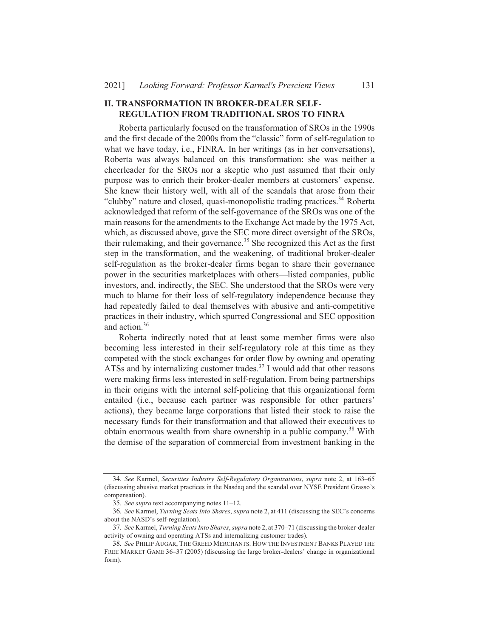131

### **II. TRANSFORMATION IN BROKER-DEALER SELF-REGULATION FROM TRADITIONAL SROS TO FINRA**

Roberta particularly focused on the transformation of SROs in the 1990s and the first decade of the 2000s from the "classic" form of self-regulation to what we have today, i.e., FINRA. In her writings (as in her conversations), Roberta was always balanced on this transformation: she was neither a cheerleader for the SROs nor a skeptic who just assumed that their only purpose was to enrich their broker-dealer members at customers' expense. She knew their history well, with all of the scandals that arose from their "clubby" nature and closed, quasi-monopolistic trading practices.<sup>34</sup> Roberta acknowledged that reform of the self-governance of the SROs was one of the main reasons for the amendments to the Exchange Act made by the 1975 Act, which, as discussed above, gave the SEC more direct oversight of the SROs, their rulemaking, and their governance.<sup>35</sup> She recognized this Act as the first step in the transformation, and the weakening, of traditional broker-dealer self-regulation as the broker-dealer firms began to share their governance power in the securities marketplaces with others—listed companies, public investors, and, indirectly, the SEC. She understood that the SROs were very much to blame for their loss of self-regulatory independence because they had repeatedly failed to deal themselves with abusive and anti-competitive practices in their industry, which spurred Congressional and SEC opposition and action.<sup>36</sup>

Roberta indirectly noted that at least some member firms were also becoming less interested in their self-regulatory role at this time as they competed with the stock exchanges for order flow by owning and operating ATSs and by internalizing customer trades.<sup>37</sup> I would add that other reasons were making firms less interested in self-regulation. From being partnerships in their origins with the internal self-policing that this organizational form entailed (i.e., because each partner was responsible for other partners' actions), they became large corporations that listed their stock to raise the necessary funds for their transformation and that allowed their executives to obtain enormous wealth from share ownership in a public company.<sup>38</sup> With the demise of the separation of commercial from investment banking in the

<sup>34.</sup> See Karmel, Securities Industry Self-Regulatory Organizations, supra note 2, at 163-65 (discussing abusive market practices in the Nasdaq and the scandal over NYSE President Grasso's compensation).

<sup>35.</sup> See supra text accompanying notes 11-12.

<sup>36.</sup> See Karmel, Turning Seats Into Shares, supra note 2, at 411 (discussing the SEC's concerns about the NASD's self-regulation).

<sup>37.</sup> See Karmel, Turning Seats Into Shares, supra note 2, at 370-71 (discussing the broker-dealer activity of owning and operating ATSs and internalizing customer trades).

<sup>38.</sup> See PHILIP AUGAR, THE GREED MERCHANTS: HOW THE INVESTMENT BANKS PLAYED THE FREE MARKET GAME 36-37 (2005) (discussing the large broker-dealers' change in organizational form).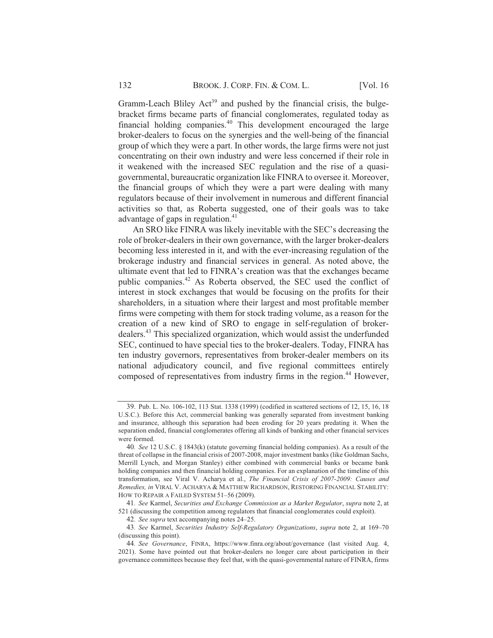Gramm-Leach Bliley Act<sup>39</sup> and pushed by the financial crisis, the bulge-Gramm-Leach Biney Act and pushed by the imancial crisis, the burge-<br>bracket firms became parts of financial conglomerates, regulated today as bracket firms became parts of financial conglomerates, regulated today as<br>financial holding companies.<sup>40</sup> This development encouraged the large broker-dealers to focus on the synergies and the well-being of the financial group of which they were a part. In other words, the large firms were not just concentrating on their own industry and were less concerned if their role in it weakened with the increased SEC regulation and the rise of a quasigovernmental, bureaucratic organization like FINRA to oversee it. Moreover, the financial groups of which they were a part were dealing with many regulators because of their involvement in numerous and different financial regulators because of their involvement in numerous and different imalicial<br>activities so that, as Roberta suggested, one of their goals was to take activities so that, as Roberta st<br>advantage of gaps in regulation.<sup>41</sup>

An SRO like FINRA was likely inevitable with the SEC's decreasing the role of broker-dealers in their own governance, with the larger broker-dealers becoming less interested in it, and with the ever-increasing regulation of the brokerage industry and financial services in general. As noted above, the biokerage industry and infinite services in general. As noted above, the<br>ultimate event that led to FINRA's creation was that the exchanges became unimate event that led to FINNA s creation was that the exchanges became<br>public companies.<sup>42</sup> As Roberta observed, the SEC used the conflict of interest in stock exchanges that would be focusing on the profits for their shareholders, in a situation where their largest and most profitable member firms were competing with them for stock trading volume, as a reason for the Thins were competing with them for stock trading volume, as a reason for the creation of a new kind of SRO to engage in self-regulation of broker- $\alpha$  creation of a new kind of SKO to engage in sen-regulation of bloker-<br>dealers.<sup>43</sup> This specialized organization, which would assist the underfunded SEC, continued to have special ties to the broker-dealers. Today, FINRA has ten industry governors, representatives from broker-dealer members on its national adjudicatory council, and five regional committees entirely national adjudicatory councit, and live regional committees entirely<br>composed of representatives from industry firms in the region.<sup>44</sup> However.

<sup>39.</sup> Pub. L. No. 106-102, 113 Stat. 1338 (1999) (codified in scattered sections of 12, 15, 16, 18 U.S.C.). Before this Act, commercial banking was generally separated from investment banking and insurance, although this separation had been eroding for 20 years predating it. When the separation ended, financial conglomerates offering all kinds of banking and other financial services were formed.

re formed.<br>40. *See* 12 U.S.C. 8 1843(k) (statute governing financial holding companies). As a result of the threat of collapse in the financial crisis of 2007-2008, major investment banks (like Goldman Sachs, Merrill Lynch, and Morgan Stanley) either combined with commercial banks or became bank holding companies and then financial holding companies. For an explanation of the timeline of this holding companies and their miancial noturing companies. For an explanation of the timentie of this<br>transformation, see Viral V. Acharva et al., *The Financial Crisis of 2007-2009: Causes and* uansionmation, see viral v. Acharya et al., *The Financial Crisis of 2007-2009. Causes and*<br>*Remedies, in* VIRAL V. ACHARYA & MATTHEW RICHARDSON, RESTORING FINANCIAL STABILITY: HOW TO REPAIR A FAILED SYSTEM 51-56 (2009).

w TO REPAIR A FAILED SYSTEM 51–56 (2009).<br>41. *See* Karmel. *Securities and Exchange Commission as a Market Regulator, supra* note 2, at 521 (discussing the competition among regulators that financial conglomerates could exploit). a calculators (also competition among regulators)<br>42. *See sunra* text accompanying notes 24–25.

<sup>4</sup>*2. See supra* text accompanying notes 24–25.<br>43. *See Karmel. Securities Industrv Self-Regulatorv Organizations. supra note 2.* at 169–70 (discussing this point).

scussing uns point).<br>44. *See Governance*, FINRA, https://www.finra.org/about/governance (last visited Aug. 4, 2021). Some have pointed out that broker-dealers no longer care about participation in their governance committees because they feel that, with the quasi-governmental nature of FINRA, firms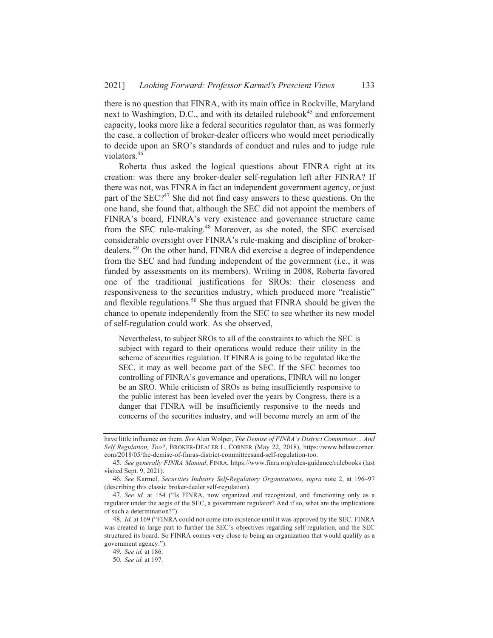there is no question that FINRA, with its main office in Rockville, Maryland next to Washington, D.C., and with its detailed rulebook<sup>45</sup> and enforcement capacity, looks more like a federal securities regulator than, as was formerly the case, a collection of broker-dealer officers who would meet periodically to decide upon an SRO's standards of conduct and rules and to judge rule violators.<sup>46</sup>

Roberta thus asked the logical questions about FINRA right at its creation: was there any broker-dealer self-regulation left after FINRA? If there was not, was FINRA in fact an independent government agency, or just part of the SEC?<sup>47</sup> She did not find easy answers to these questions. On the one hand, she found that, although the SEC did not appoint the members of FINRA's board, FINRA's very existence and governance structure came from the SEC rule-making.<sup>48</sup> Moreover, as she noted, the SEC exercised considerable oversight over FINRA's rule-making and discipline of brokerdealers.<sup>49</sup> On the other hand, FINRA did exercise a degree of independence from the SEC and had funding independent of the government (i.e., it was funded by assessments on its members). Writing in 2008, Roberta favored one of the traditional justifications for SROs: their closeness and responsiveness to the securities industry, which produced more "realistic" and flexible regulations.<sup>50</sup> She thus argued that FINRA should be given the chance to operate independently from the SEC to see whether its new model of self-regulation could work. As she observed,

Nevertheless, to subject SROs to all of the constraints to which the SEC is subject with regard to their operations would reduce their utility in the scheme of securities regulation. If FINRA is going to be regulated like the SEC, it may as well become part of the SEC. If the SEC becomes too controlling of FINRA's governance and operations, FINRA will no longer be an SRO. While criticism of SROs as being insufficiently responsive to the public interest has been leveled over the years by Congress, there is a danger that FINRA will be insufficiently responsive to the needs and concerns of the securities industry, and will become merely an arm of the

have little influence on them. See Alan Wolper, The Demise of FINRA's District Committees... And Self Regulation, Too?, BROKER-DEALER L. CORNER (May 22, 2018), https://www.bdlawcorner. com/2018/05/the-demise-of-finras-district-committeesand-self-regulation-too.

<sup>45.</sup> See generally FINRA Manual, FINRA, https://www.finra.org/rules-guidance/rulebooks (last visited Sept. 9, 2021).

<sup>46.</sup> See Karmel, Securities Industry Self-Regulatory Organizations, supra note 2, at 196-97 (describing this classic broker-dealer self-regulation).

<sup>47.</sup> See id. at 154 ("Is FINRA, now organized and recognized, and functioning only as a regulator under the aegis of the SEC, a government regulator? And if so, what are the implications of such a determination?").

<sup>48.</sup> Id. at 169 ("FINRA could not come into existence until it was approved by the SEC. FINRA was created in large part to further the SEC's objectives regarding self-regulation, and the SEC structured its board. So FINRA comes very close to being an organization that would qualify as a government agency.").

<sup>49.</sup> See id. at 186.

<sup>50.</sup> See id. at 197.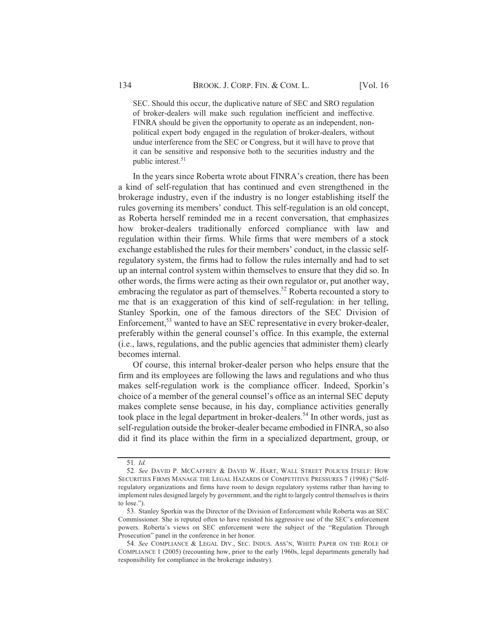SEC. Should this occur, the duplicative nature of SEC and SRO regulation of broker-dealers will make such regulation inefficient and ineffective. FINRA should be given the opportunity to operate as an independent, nonpolitical expert body engaged in the regulation of broker-dealers, without undue interference from the SEC or Congress, but it will have to prove that it can be sensitive and responsive both to the securities industry and the n can be sensiti<br>public interest.<sup>51</sup>

In the years since Roberta wrote about FINRA's creation, there has been a kind of self-regulation that has continued and even strengthened in the brokerage industry, even if the industry is no longer establishing itself the biokerage muusu'y, even it the muusu'y is no longer establishing itsen the<br>rules governing its members' conduct. This self-regulation is an old concept, as Roberta herself reminded me in a recent conversation, that emphasizes how broker-dealers traditionally enforced compliance with law and regulation within their firms. While firms that were members of a stock exchange established the rules for their members' conduct, in the classic selfregulatory system, the firms had to follow the rules internally and had to set up an internal control system within themselves to ensure that they did so. In other words, the firms were acting as their own regulator or, put another way, other words, the firms were acting as their own regulator or, put another way,<br>embracing the regulator as part of themselves.<sup>52</sup> Roberta recounted a story to embracing the regulator as part or themserves. Koberta recounted a story to<br>me that is an exaggeration of this kind of self-regulation: in her telling. Stanley Sporkin, one of the famous directors of the SEC Division of Stattley Sporkin, one of the famous different of the SEC Division of  $\text{Enforcement}^{53}$  wanted to have an SEC representative in every broker-dealer. preferably within the general counsel's office. In this example, the external (i.e., laws, regulations, and the public agencies that administer them) clearly becomes internal.

Of course, this internal broker-dealer person who helps ensure that the firm and its employees are following the laws and regulations and who thus makes self-regulation work is the compliance officer. Indeed, Sporkin's choice of a member of the general counsel's office as an internal SEC deputy makes complete sense because, in his day, compliance activities generally makes complete sense because, in ms day, comphance activities generally<br>took place in the legal department in broker-dealers.<sup>54</sup> In other words, just as self-regulation outside the broker-dealer became embodied in FINRA, so also did it find its place within the firm in a specialized department, group, or

<sup>51.</sup> Id.

<sup>52.</sup> See DAVID P. MCCAFFREY & DAVID W. HART, WALL STREET POLICES ITSELF: HOW SECURITIES FIRMS MANAGE THE LEGAL HAZARDS OF COMPETITIVE PRESSURES 7 (1998) ("Self- $\alpha$  (1996) (SELEMENTHES TIKING MANAGE THE LEGAL HAZARDS OF COMPETITIVE FRESSORES (1996) (SELEMENTHES IN ANNOUNCEMENT CONFIDENCIAL SELEMENT CONTROLLED ASSEMBLED TO A CONFIDENCE THE DESCRIPTION of  $\alpha$ regulatory organizations and firms have foom to design regulatory systems rather than having to<br>implement rules designed largely by government, and the right to largely control themselves is theirs to lose.").

<sup>53.</sup> Stanley Sporkin was the Director of the Division of Enforcement while Roberta was an SEC 33. Statiley Sporkin was the Driector of the Dryslon of Emolement while Roberta was an SEC<br>Commissioner. She is reputed often to have resisted his aggressive use of the SEC's enforcement Commissioner. She is reputed often to have resisted ins aggressive use of the SEC s emorcement<br>powers. Roberta's views on SEC enforcement were the subject of the "Regulation Through powers. Roberta s views on SEC emocement<br>Prosecution'' panel in the conference in her honor.

secution "panet in the conference in her honor."<br>54. *See C*OMPLIANCE & LEGAL DIV.. SEC. INDUS. ASS'N. WHITE PAPER ON THE ROLE OF COMPLIANCE  $1$  (2005) (recounting how, prior to the early 1960s, legal departments generally had responsibility for compliance in the brokerage industry).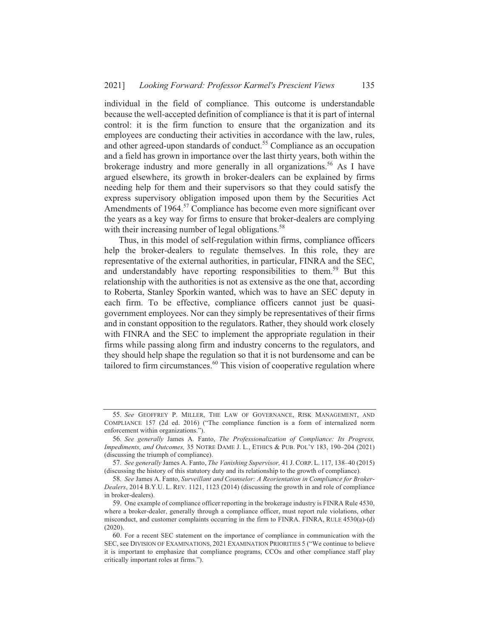individual in the field of compliance. This outcome is understandable because the well-accepted definition of compliance is that it is part of internal control: it is the firm function to ensure that the organization and its employees are conducting their activities in accordance with the law, rules, employees are conducting their activities in accordance with the law, rules,<br>and other agreed-upon standards of conduct.<sup>55</sup> Compliance as an occupation and a field has grown in importance over the last thirty years, both within the and a field has grown in importance over the last thirty years, both within the brokerage industry and more generally in all organizations.<sup>56</sup> As I have argued elsewhere, its growth in broker-dealers can be explained by firms needing help for them and their supervisors so that they could satisfy the express supervisory obligation imposed upon them by the Securities Act express supervisory congation imposed upon them by the securities Act<br>Amendments of 1964.<sup>57</sup> Compliance has become even more significant over the years as a key way for firms to ensure that broker-dealers are complying The years as a key way for firms to ensure that blow<br>with their increasing number of legal obligations.<sup>58</sup>

Thus, in this model of self-regulation within firms, compliance officers help the broker-dealers to regulate themselves. In this role, they are help the broker-dealers to regulate themserves. In this role, they are<br>representative of the external authorities, in particular, FINRA and the SEC. representative of the external additionalities, in particular,  $\text{FINRA}$  and the SEC,<br>and understandably have reporting responsibilities to them.<sup>59</sup> But this relationship with the authorities is not as extensive as the one that, according to Roberta, Stanley Sporkin wanted, which was to have an SEC deputy in each firm. To be effective, compliance officers cannot just be quasigovernment employees. Nor can they simply be representatives of their firms and in constant opposition to the regulators. Rather, they should work closely with FINRA and the SEC to implement the appropriate regulation in their firms while passing along firm and industry concerns to the regulators, and they should help shape the regulation so that it is not burdensome and can be they should help shape the regulation so that it is not builder some and can be tailored to firm circumstances.<sup>60</sup> This vision of cooperative regulation where

<sup>55.</sup> See GEOFFREY P. MILLER, THE LAW OF GOVERNANCE, RISK MANAGEMENT, AND COMPLIANCE 157 (2d ed. 2016) ("The compliance function is a form of internalized norm enforcement within organizations.").

orcement within organizations. ).<br>56. See generally James A. Fanto, *The Professionalization of Compliance: Its Progress*, 90. See generally safiles A. Fallio, *The Trojessionalization of Compitance. Its Trogress,*<br>*Impediments, and Outcomes,* 35 NOTRE DAME J. L., ETHICS & PUB. POL'Y 183, 190–204 (2021) (discussing the triumph of compliance).

scussing the triumph of compnance).<br>57. See generally James A. Fanto, *The Vanishing Supervisor*, 41 J. CORP. L. 117, 138–40 (2015) (discussing the history of this statutory duty and its relationship to the growth of compliance).

scussing the instory of this statutory duty and its relationship to the growth of compilance).<br>58. See James A. Fanto. Surveillant and Counselor: A Reorientation in Compliance for Broker-38. *See salites A. Pallo, Surventiant and Counselor. A Reortentation in Compitance for Broker-*<br>*Dealers*, 2014 B.Y.U. L. REV. 1121, 1123 (2014) (discussing the growth in and role of compliance in broker-dealers).

<sup>59.</sup> One example of compliance officer reporting in the brokerage industry is FINRA Rule 4530, where a broker-dealer, generally through a compliance officer, must report rule violations, other misconduct, and customer complaints occurring in the firm to FINRA. FINRA, RULE  $4530(a)-(d)$  $(2020).$ 

<sup>60.</sup> For a recent SEC statement on the importance of compliance in communication with the SEC, see DIVISION OF EXAMINATIONS, 2021 EXAMINATION PRIORITIES 5 ("We continue to believe  $\text{SEC}$ , see DIVISION OF EXAMINATIONS, 2021 EXAMINATION PRIORITIES  $\sigma$  ( we continue to believe<br>it is important to emphasize that compliance programs, CCOs and other compliance staff play critically important roles at firms.").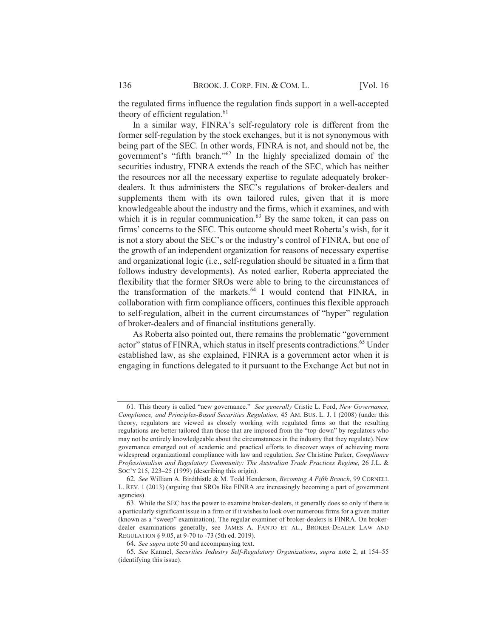the regulated firms influence the regulation finds support in a well-accepted theory of efficient regulation.<sup>61</sup>

In a similar way, FINRA's self-regulatory role is different from the former self-regulation by the stock exchanges, but it is not synonymous with being part of the SEC. In other words, FINRA is not, and should not be, the government's "fifth branch."<sup>62</sup> In the highly specialized domain of the securities industry, FINRA extends the reach of the SEC, which has neither the resources nor all the necessary expertise to regulate adequately brokerdealers. It thus administers the SEC's regulations of broker-dealers and supplements them with its own tailored rules, given that it is more knowledgeable about the industry and the firms, which it examines, and with which it is in regular communication. $^{63}$  By the same token, it can pass on firms' concerns to the SEC. This outcome should meet Roberta's wish, for it is not a story about the SEC's or the industry's control of FINRA, but one of the growth of an independent organization for reasons of necessary expertise and organizational logic (i.e., self-regulation should be situated in a firm that follows industry developments). As noted earlier, Roberta appreciated the flexibility that the former SROs were able to bring to the circumstances of the transformation of the markets.<sup>64</sup> I would contend that FINRA, in collaboration with firm compliance officers, continues this flexible approach to self-regulation, albeit in the current circumstances of "hyper" regulation of broker-dealers and of financial institutions generally.

As Roberta also pointed out, there remains the problematic "government" actor" status of FINRA, which status in itself presents contradictions.<sup>65</sup> Under established law, as she explained, FINRA is a government actor when it is engaging in functions delegated to it pursuant to the Exchange Act but not in

<sup>61.</sup> This theory is called "new governance." See generally Cristie L. Ford, New Governance, Compliance, and Principles-Based Securities Regulation, 45 AM. BUS. L. J. 1 (2008) (under this theory, regulators are viewed as closely working with regulated firms so that the resulting regulations are better tailored than those that are imposed from the "top-down" by regulators who may not be entirely knowledgeable about the circumstances in the industry that they regulate). New governance emerged out of academic and practical efforts to discover ways of achieving more widespread organizational compliance with law and regulation. See Christine Parker, Compliance Professionalism and Regulatory Community: The Australian Trade Practices Regime, 26 J.L. & Soc'y 215, 223–25 (1999) (describing this origin).

<sup>62.</sup> See William A. Birdthistle & M. Todd Henderson, Becoming A Fifth Branch, 99 CORNELL L. REV. 1 (2013) (arguing that SROs like FINRA are increasingly becoming a part of government agencies).

<sup>63.</sup> While the SEC has the power to examine broker-dealers, it generally does so only if there is a particularly significant issue in a firm or if it wishes to look over numerous firms for a given matter (known as a "sweep" examination). The regular examiner of broker-dealers is FINRA. On brokerdealer examinations generally, see JAMES A. FANTO ET AL., BROKER-DEALER LAW AND REGULATION § 9.05, at 9-70 to -73 (5th ed. 2019).

<sup>64.</sup> See supra note 50 and accompanying text.

<sup>65.</sup> See Karmel, Securities Industry Self-Regulatory Organizations, supra note 2, at 154–55 (identifying this issue).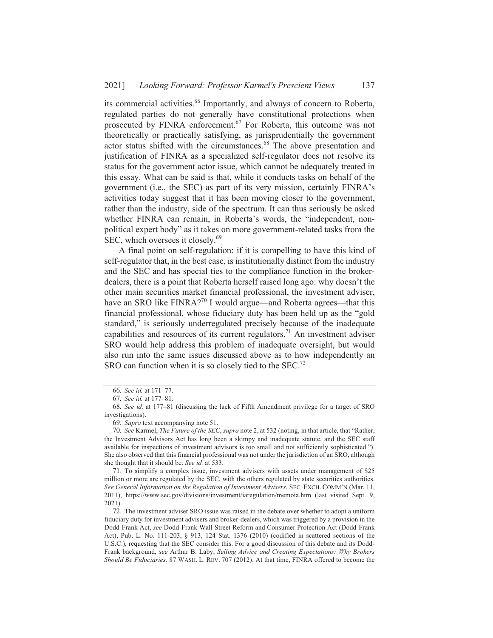its commercial activities.<sup>66</sup> Importantly, and always of concern to Roberta, regulated parties do not generally have constitutional protections when prosecuted by FINRA enforcement.<sup>67</sup> For Roberta, this outcome was not theoretically or practically satisfying, as jurisprudentially the government actor status shifted with the circumstances.<sup>68</sup> The above presentation and justification of FINRA as a specialized self-regulator does not resolve its status for the government actor issue, which cannot be adequately treated in this essay. What can be said is that, while it conducts tasks on behalf of the government (i.e., the SEC) as part of its very mission, certainly FINRA's activities today suggest that it has been moving closer to the government, rather than the industry, side of the spectrum. It can thus seriously be asked whether FINRA can remain, in Roberta's words, the "independent, nonpolitical expert body" as it takes on more government-related tasks from the SEC, which oversees it closely.<sup>69</sup>

A final point on self-regulation: if it is compelling to have this kind of self-regulator that, in the best case, is institutionally distinct from the industry and the SEC and has special ties to the compliance function in the brokerdealers, there is a point that Roberta herself raised long ago: why doesn't the other main securities market financial professional, the investment adviser, have an SRO like FINRA?<sup>70</sup> I would argue—and Roberta agrees—that this financial professional, whose fiduciary duty has been held up as the "gold" standard," is seriously underregulated precisely because of the inadequate capabilities and resources of its current regulators.<sup>71</sup> An investment adviser SRO would help address this problem of inadequate oversight, but would also run into the same issues discussed above as to how independently an SRO can function when it is so closely tied to the SEC.<sup>72</sup>

<sup>66.</sup> See id. at 171-77.

<sup>67.</sup> See id. at 177-81.

<sup>68.</sup> See id. at 177-81 (discussing the lack of Fifth Amendment privilege for a target of SRO investigations).

<sup>69.</sup> Supra text accompanying note 51.

<sup>70.</sup> See Karmel, The Future of the SEC, supra note 2, at 532 (noting, in that article, that "Rather, the Investment Advisors Act has long been a skimpy and inadequate statute, and the SEC staff available for inspections of investment advisors is too small and not sufficiently sophisticated."). She also observed that this financial professional was not under the jurisdiction of an SRO, although she thought that it should be. See id. at 533.

<sup>71.</sup> To simplify a complex issue, investment advisers with assets under management of \$25 million or more are regulated by the SEC, with the others regulated by state securities authorities. See General Information on the Regulation of Investment Advisers, SEC. EXCH. COMM'N (Mar. 11, 2011), https://www.sec.gov/divisions/investment/iaregulation/memoia.htm (last visited Sept. 9,  $2021$ ).

<sup>72.</sup> The investment adviser SRO issue was raised in the debate over whether to adopt a uniform fiduciary duty for investment advisers and broker-dealers, which was triggered by a provision in the Dodd-Frank Act, see Dodd-Frank Wall Street Reform and Consumer Protection Act (Dodd-Frank Act), Pub. L. No. 111-203, § 913, 124 Stat. 1376 (2010) (codified in scattered sections of the U.S.C.), requesting that the SEC consider this. For a good discussion of this debate and its Dodd-Frank background, see Arthur B. Laby, Selling Advice and Creating Expectations: Why Brokers Should Be Fiduciaries, 87 WASH. L. REV. 707 (2012). At that time, FINRA offered to become the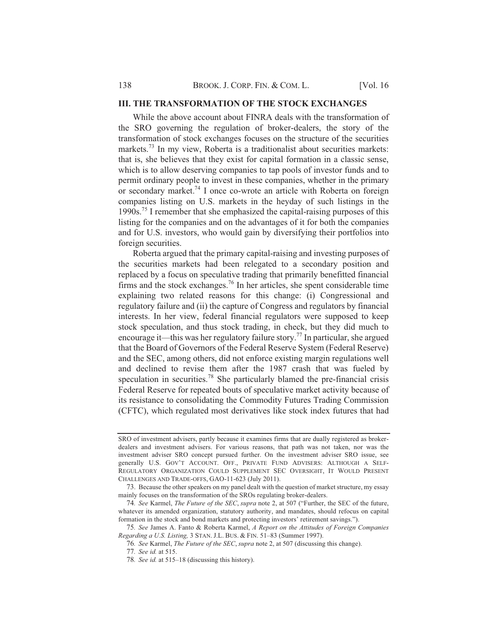## **III. THE TRANSFORMATION OF THE STOCK EXCHANGES**

While the above account about FINRA deals with the transformation of the SRO governing the regulation of broker-dealers, the story of the transformation of stock exchanges focuses on the structure of the securities markets.<sup>73</sup> In my view. Roberta is a traditionalist about securities markets: that is, she believes that they exist for capital formation in a classic sense, which is to allow deserving companies to tap pools of investor funds and to permit ordinary people to invest in these companies, whether in the primary permit ordinary people to invest in these companies, whether in the primary<br>or secondary market.<sup>74</sup> I once co-wrote an article with Roberta on foreign companies listing on U.S. markets in the heyday of such listings in the 555PDI H1  6CMCMEC6 BJ DBC CM7BJDKLCK BC GJ7K
JA86JKDKI 7J67@DCD @H BKD listing for the companies and on the advantages of it for both the companies and for U.S. investors, who would gain by diversifying their portfolios into foreign securities.

Roberta argued that the primary capital-raising and investing purposes of the securities markets had been relegated to a secondary position and replaced by a focus on speculative trading that primarily benefitted financial replaced by a locus on speculative trading that primarily benefitied miancial<br>firms and the stock exchanges.<sup>76</sup> In her articles, she spent considerable time explaining two related reasons for this change: (i) Congressional and regulatory failure and (ii) the capture of Congress and regulators by financial interests. In her view, federal financial regulators were supposed to keep stock speculation, and thus stock trading, in check, but they did much to stock speculation, and thus stock trading, in check, but they did much to encourage it—this was her regulatory failure story.<sup>77</sup> In particular, she argued that the Board of Governors of the Federal Reserve System (Federal Reserve) and the SEC, among others, did not enforce existing margin regulations well and declined to revise them after the 1987 crash that was fueled by and declined to revise them after the 1987 crash that was fueled by<br>speculation in securities.<sup>78</sup> She particularly blamed the pre-financial crisis Federal Reserve for repeated bouts of speculative market activity because of its resistance to consolidating the Commodity Futures Trading Commission (CFTC), which regulated most derivatives like stock index futures that had

76. See Karmel, *The Future of the SEC*, *supra* note 2, at 507 (discussing this change).

SRO of investment advisers, partly because it examines firms that are dually registered as broker-SKO of investment advisers, partly because it examines mins that are qually registered as broker-<br>dealers and investment advisers. For various reasons, that path was not taken, nor was the dealers and investment advisers. For various reasons, that path was not taken, nor was the<br>investment adviser SRO concept pursued further. On the investment adviser SRO issue, see generally U.S. GOV'T ACCOUNT. OFF., PRIVATE FUND ADVISERS: ALTHOUGH A SELF-REGULATORY ORGANIZATION COULD SUPPLEMENT SEC OVERSIGHT, IT WOULD PRESENT CHALLENGES AND TRADE-OFFS, GAO-11-623 (July 2011).

ALLENGES AND TRADE-OFFS, GAO-T1-623 (July 2011).<br>73. Because the other speakers on my panel dealt with the question of market structure. my essay mainly focuses on the transformation of the SROs regulating broker-dealers.

iny locuses on the transformation of the SKOs regulating proker-dealers.<br>74. *See* Karmel. *The Future of the SEC, supra* note 2, at 507 ("Further, the SEC of the future.  $\alpha$ , see Karlinei, *The Future of the SEC*, *supra* note 2, at 307 (Futurei, the SEC of the future, whatever its amended organization, statutory authority, and mandates, should refocus on capital formation in the stock and bond markets and protecting investors' retirement savings.").

mation in the stock and bond markets and protecting investors Tettrement savings. ).<br>75. *See* James A. Fanto & Roberta Karmel. *A Report on the Attitudes of Foreign Companies I S*. See James A. Panto & Roberta Ramier, *A Report on the Attitudes*<br>*Regarding a U.S. Listing*, 3 STAN. J.L. BUS. & FIN. 51–83 (Summer 1997).

<sup>77.</sup> See id. at 515.

<sup>78.</sup> See id. at 515–18 (discussing this history).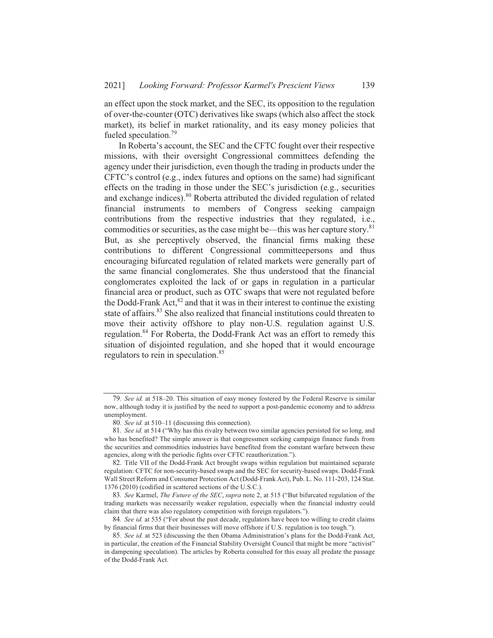an effect upon the stock market, and the SEC, its opposition to the regulation of over-the-counter (OTC) derivatives like swaps (which also affect the stock market), its belief in market rationality, and its easy money policies that market), its belief  $\Gamma$ <br>fueled speculation.<sup>79</sup>

In Roberta's account, the SEC and the CFTC fought over their respective missions, with their oversight Congressional committees defending the agency under their jurisdiction, even though the trading in products under the CFTC's control (e.g., index futures and options on the same) had significant effects on the trading in those under the SEC's jurisdiction (e.g., securities effects on the trading in those under the SEC s jurisdiction (e.g., securities and exchange indices).<sup>80</sup> Roberta attributed the divided regulation of related financial instruments to members of Congress seeking campaign Imancial instruments to members of Congress seeking campaign<br>contributions from the respective industries that they regulated, i.e., contributions from the respective maturies that they regulated, i.e., commodities or securities, as the case might be—this was her capture story.<sup>81</sup> But, as she perceptively observed, the financial firms making these contributions to different Congressional committeepersons and thus encouraging bifurcated regulation of related markets were generally part of the same financial conglomerates. She thus understood that the financial conglomerates exploited the lack of or gaps in regulation in a particular financial area or product, such as OTC swaps that were not regulated before mancial area of product, such as OTC swaps that were not regulated before<br>the Dodd-Frank Act.<sup>82</sup> and that it was in their interest to continue the existing the Doud-Frank Act, and that it was in their interest to continue the existing<br>state of affairs.<sup>83</sup> She also realized that financial institutions could threaten to state of arians. She also realized that infinite institutions could threaten to<br>move their activity offshore to play non-U.S. regulation against U.S. move their activity offshore to play hon-0.5. regulation against 0.5.<br>regulation.<sup>84</sup> For Roberta, the Dodd-Frank Act was an effort to remedy this situation of disjointed regulation, and she hoped that it would encourage situation of disjonned regulation.<br>regulators to rein in speculation.<sup>85</sup>

<sup>79.</sup> See id. at 518-20. This situation of easy money fostered by the Federal Reserve is similar  $\frac{1}{3}$ . See ta, at 318–20. This studium of easy money fostered by the redetal Reserve is similar now, although today it is justified by the need to support a post-pandemic economy and to address unemployment.

<sup>80.</sup> See id. at  $510-11$  (discussing this connection).

<sup>81.</sup> See id. at 514 ("Why has this rivalry between two similar agencies persisted for so long, and who has benefited? The simple answer is that congressmen seeking campaign finance funds from who has benefited: The simple answer is that congressmen seeking campaign miance funds from<br>the securities and commodities industries have benefited from the constant warfare between these agencies, along with the periodic fights over CFTC reauthorization.").

<sup>82.</sup> Title VII of the Dodd-Frank Act brought swaps within regulation but maintained separate regulation: CFTC for non-security-based swaps and the SEC for security-based swaps. Dodd-Frank regulation. Cr i C for non-security-based swaps and the SEC for security-based swaps. Dodd-riank<br>Wall Street Reform and Consumer Protection Act (Dodd-Frank Act). Pub. L. No. 111-203. 124 Stat.  $1376 (2010)$  (codified in scattered sections of the U.S.C.).

<sup>6 (2010) (</sup>codified in scattered sections of the U.S.C.).<br>83. *See* Karmel, *The Future of the SEC*, *supra* note 2, at 515 ("But bifurcated regulation of the o. See Kariner, *the Future of the SEC*, *supra* note 2, at 515 ( but binarcated regulation of the trading markets was necessarily weaker regulation, especially when the financial industry could claim that there was also regulatory competition with foreign regulators.").

nn mat there was also regulatory competition with foreign regulators. *j*.<br>84. *See id.* at 535 ("For about the past decade, regulators have been too willing to credit claims by financial firms that their businesses will move offshore if U.S. regulation is too tough.").

<sup>85.</sup> See id. at 523 (discussing the then Obama Administration's plans for the Dodd-Frank Act, o. *See ta.* at 525 (unstassing the then Obania Administration s plans for the Dodd-Frank Act,<br>in particular, the creation of the Financial Stability Oversight Council that might be more "activist" in dampening speculation). The articles by Roberta consulted for this essay all predate the passage of the Dodd-Frank Act.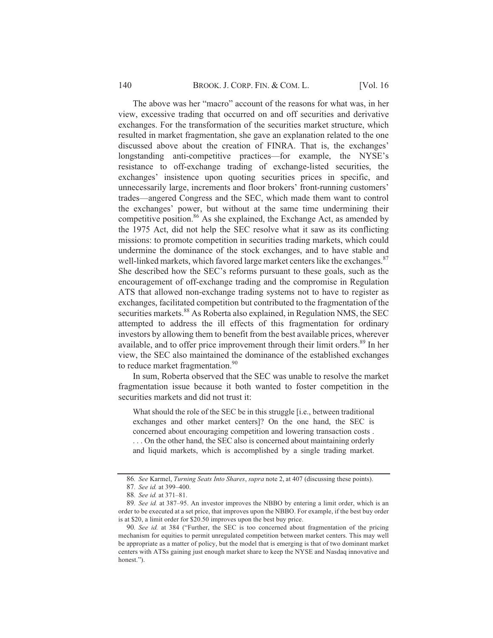The above was her "macro" account of the reasons for what was, in her view, excessive trading that occurred on and off securities and derivative exchanges. For the transformation of the securities market structure, which resulted in market fragmentation, she gave an explanation related to the one discussed above about the creation of FINRA. That is, the exchanges' longstanding anti-competitive practices—for example, the NYSE's resistance to off-exchange trading of exchange-listed securities, the exchanges' insistence upon quoting securities prices in specific, and unnecessarily large, increments and floor brokers' front-running customers' trades—angered Congress and the SEC, which made them want to control the exchanges' power, but without at the same time undermining their competitive position.<sup>86</sup> As she explained, the Exchange Act, as amended by the 1975 Act, did not help the SEC resolve what it saw as its conflicting missions: to promote competition in securities trading markets, which could undermine the dominance of the stock exchanges, and to have stable and well-linked markets, which favored large market centers like the exchanges.<sup>87</sup> She described how the SEC's reforms pursuant to these goals, such as the encouragement of off-exchange trading and the compromise in Regulation ATS that allowed non-exchange trading systems not to have to register as exchanges, facilitated competition but contributed to the fragmentation of the securities markets.<sup>88</sup> As Roberta also explained, in Regulation NMS, the SEC attempted to address the ill effects of this fragmentation for ordinary investors by allowing them to benefit from the best available prices, wherever available, and to offer price improvement through their limit orders.<sup>89</sup> In her view, the SEC also maintained the dominance of the established exchanges to reduce market fragmentation.<sup>90</sup>

In sum, Roberta observed that the SEC was unable to resolve the market fragmentation issue because it both wanted to foster competition in the securities markets and did not trust it:

What should the role of the SEC be in this struggle [i.e., between traditional exchanges and other market centers]? On the one hand, the SEC is concerned about encouraging competition and lowering transaction costs. ... On the other hand, the SEC also is concerned about maintaining orderly and liquid markets, which is accomplished by a single trading market.

140

<sup>86.</sup> See Karmel, Turning Seats Into Shares, supra note 2, at 407 (discussing these points).

<sup>87.</sup> See id. at 399-400.

<sup>88.</sup> See id. at 371-81.

<sup>89.</sup> See id. at 387-95. An investor improves the NBBO by entering a limit order, which is an order to be executed at a set price, that improves upon the NBBO. For example, if the best buy order is at \$20, a limit order for \$20.50 improves upon the best buy price.

<sup>90.</sup> See id. at 384 ("Further, the SEC is too concerned about fragmentation of the pricing mechanism for equities to permit unregulated competition between market centers. This may well be appropriate as a matter of policy, but the model that is emerging is that of two dominant market centers with ATSs gaining just enough market share to keep the NYSE and Nasdaq innovative and honest.").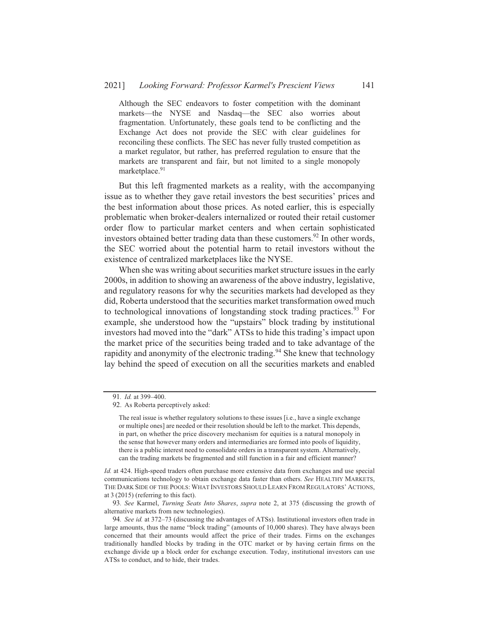Although the SEC endeavors to foster competition with the dominant markets—the NYSE and Nasdaq—the SEC also worries about fragmentation. Unfortunately, these goals tend to be conflicting and the Exchange Act does not provide the SEC with clear guidelines for reconciling these conflicts. The SEC has never fully trusted competition as a market regulator, but rather, has preferred regulation to ensure that the markets are transparent and fair, but not limited to a single monopoly marketplace.<sup>91</sup>

But this left fragmented markets as a reality, with the accompanying issue as to whether they gave retail investors the best securities' prices and the best information about those prices. As noted earlier, this is especially problematic when broker-dealers internalized or routed their retail customer order flow to particular market centers and when certain sophisticated investors obtained better trading data than these customers.<sup>92</sup> In other words, the SEC worried about the potential harm to retail investors without the existence of centralized marketplaces like the NYSE.

When she was writing about securities market structure issues in the early 2000s, in addition to showing an awareness of the above industry, legislative, and regulatory reasons for why the securities markets had developed as they did, Roberta understood that the securities market transformation owed much to technological innovations of longstanding stock trading practices.<sup>93</sup> For example, she understood how the "upstairs" block trading by institutional investors had moved into the "dark" ATSs to hide this trading's impact upon the market price of the securities being traded and to take advantage of the rapidity and anonymity of the electronic trading.<sup>94</sup> She knew that technology lay behind the speed of execution on all the securities markets and enabled

141

<sup>91.</sup> Id. at 399-400.

<sup>92.</sup> As Roberta perceptively asked:

The real issue is whether regulatory solutions to these issues [i.e., have a single exchange or multiple ones] are needed or their resolution should be left to the market. This depends, in part, on whether the price discovery mechanism for equities is a natural monopoly in the sense that however many orders and intermediaries are formed into pools of liquidity, there is a public interest need to consolidate orders in a transparent system. Alternatively, can the trading markets be fragmented and still function in a fair and efficient manner?

Id. at 424. High-speed traders often purchase more extensive data from exchanges and use special communications technology to obtain exchange data faster than others. See HEALTHY MARKETS, THE DARK SIDE OF THE POOLS: WHAT INVESTORS SHOULD LEARN FROM REGULATORS' ACTIONS, at  $3(2015)$  (referring to this fact).

<sup>93.</sup> See Karmel, Turning Seats Into Shares, supra note 2, at 375 (discussing the growth of alternative markets from new technologies).

<sup>94.</sup> See id. at 372-73 (discussing the advantages of ATSs). Institutional investors often trade in large amounts, thus the name "block trading" (amounts of 10,000 shares). They have always been concerned that their amounts would affect the price of their trades. Firms on the exchanges traditionally handled blocks by trading in the OTC market or by having certain firms on the exchange divide up a block order for exchange execution. Today, institutional investors can use ATSs to conduct, and to hide, their trades.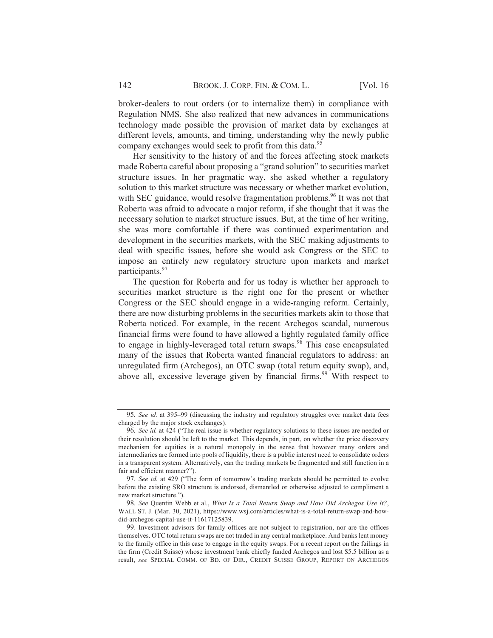broker-dealers to rout orders (or to internalize them) in compliance with Regulation NMS. She also realized that new advances in communications technology made possible the provision of market data by exchanges at different levels, amounts, and timing, understanding why the newly public company exchanges would seek to profit from this data.<sup>95</sup>

Her sensitivity to the history of and the forces affecting stock markets made Roberta careful about proposing a "grand solution" to securities market structure issues. In her pragmatic way, she asked whether a regulatory solution to this market structure was necessary or whether market evolution, with SEC guidance, would resolve fragmentation problems.<sup>96</sup> It was not that Roberta was afraid to advocate a major reform, if she thought that it was the necessary solution to market structure issues. But, at the time of her writing, she was more comfortable if there was continued experimentation and development in the securities markets, with the SEC making adjustments to deal with specific issues, before she would ask Congress or the SEC to impose an entirely new regulatory structure upon markets and market participants.<sup>97</sup>

The question for Roberta and for us today is whether her approach to securities market structure is the right one for the present or whether Congress or the SEC should engage in a wide-ranging reform. Certainly, there are now disturbing problems in the securities markets akin to those that Roberta noticed. For example, in the recent Archegos scandal, numerous financial firms were found to have allowed a lightly regulated family office to engage in highly-leveraged total return swaps.<sup>98</sup> This case encapsulated many of the issues that Roberta wanted financial regulators to address: an unregulated firm (Archegos), an OTC swap (total return equity swap), and, above all, excessive leverage given by financial firms.<sup>99</sup> With respect to

<sup>95.</sup> See id. at 395–99 (discussing the industry and regulatory struggles over market data fees charged by the major stock exchanges).

<sup>96.</sup> See id. at 424 ("The real issue is whether regulatory solutions to these issues are needed or their resolution should be left to the market. This depends, in part, on whether the price discovery mechanism for equities is a natural monopoly in the sense that however many orders and intermediaries are formed into pools of liquidity, there is a public interest need to consolidate orders in a transparent system. Alternatively, can the trading markets be fragmented and still function in a fair and efficient manner?").

<sup>97.</sup> See id. at 429 ("The form of tomorrow's trading markets should be permitted to evolve before the existing SRO structure is endorsed, dismantled or otherwise adjusted to compliment a new market structure.").

<sup>98.</sup> See Quentin Webb et al., What Is a Total Return Swap and How Did Archegos Use It?, WALL ST. J. (Mar. 30, 2021), https://www.wsj.com/articles/what-is-a-total-return-swap-and-howdid-archegos-capital-use-it-11617125839.

<sup>99.</sup> Investment advisors for family offices are not subject to registration, nor are the offices themselves. OTC total return swaps are not traded in any central marketplace. And banks lent money to the family office in this case to engage in the equity swaps. For a recent report on the failings in the firm (Credit Suisse) whose investment bank chiefly funded Archegos and lost \$5.5 billion as a result, see SPECIAL COMM. OF BD. OF DIR., CREDIT SUISSE GROUP, REPORT ON ARCHEGOS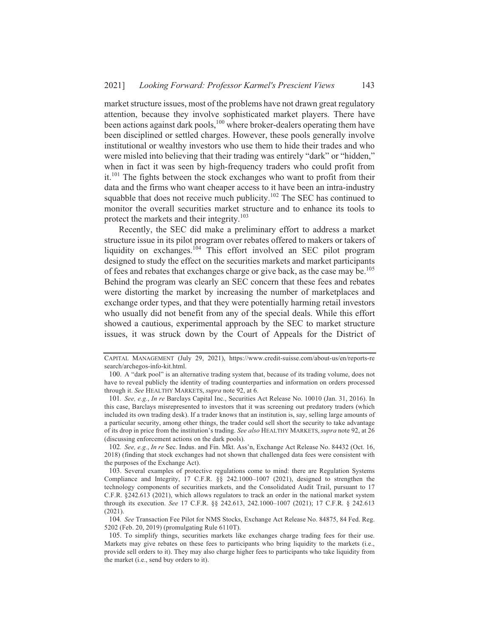market structure issues, most of the problems have not drawn great regulatory attention, because they involve sophisticated market players. There have been actions against dark pools, <sup>100</sup> where broker-dealers operating them have been disciplined or settled charges. However, these pools generally involve institutional or wealthy investors who use them to hide their trades and who were misled into believing that their trading was entirely "dark" or "hidden," when in fact it was seen by high-frequency traders who could profit from it.<sup>101</sup> The fights between the stock exchanges who want to profit from their data and the firms who want cheaper access to it have been an intra-industry squabble that does not receive much publicity.<sup>102</sup> The SEC has continued to monitor the overall securities market structure and to enhance its tools to protect the markets and their integrity.<sup>103</sup>

Recently, the SEC did make a preliminary effort to address a market structure issue in its pilot program over rebates offered to makers or takers of liquidity on exchanges.<sup>104</sup> This effort involved an SEC pilot program designed to study the effect on the securities markets and market participants of fees and rebates that exchanges charge or give back, as the case may be.<sup>105</sup> Behind the program was clearly an SEC concern that these fees and rebates were distorting the market by increasing the number of marketplaces and exchange order types, and that they were potentially harming retail investors who usually did not benefit from any of the special deals. While this effort showed a cautious, experimental approach by the SEC to market structure issues, it was struck down by the Court of Appeals for the District of

102. See, e.g., In re Sec. Indus. and Fin. Mkt. Ass'n, Exchange Act Release No. 84432 (Oct. 16, 2018) (finding that stock exchanges had not shown that challenged data fees were consistent with the purposes of the Exchange Act).

104. See Transaction Fee Pilot for NMS Stocks, Exchange Act Release No. 84875, 84 Fed. Reg. 5202 (Feb. 20, 2019) (promulgating Rule 6110T).

CAPITAL MANAGEMENT (July 29, 2021), https://www.credit-suisse.com/about-us/en/reports-re search/archegos-info-kit.html.

<sup>100.</sup> A "dark pool" is an alternative trading system that, because of its trading volume, does not have to reveal publicly the identity of trading counterparties and information on orders processed through it. See HEALTHY MARKETS, supra note 92, at 6.

<sup>101.</sup> See, e.g., In re Barclays Capital Inc., Securities Act Release No. 10010 (Jan. 31, 2016). In this case, Barclays misrepresented to investors that it was screening out predatory traders (which included its own trading desk). If a trader knows that an institution is, say, selling large amounts of a particular security, among other things, the trader could sell short the security to take advantage of its drop in price from the institution's trading. See also HEALTHY MARKETS, supra note 92, at 26 (discussing enforcement actions on the dark pools).

<sup>103.</sup> Several examples of protective regulations come to mind: there are Regulation Systems Compliance and Integrity, 17 C.F.R. §§ 242.1000-1007 (2021), designed to strengthen the technology components of securities markets, and the Consolidated Audit Trail, pursuant to 17 C.F.R. §242.613 (2021), which allows regulators to track an order in the national market system through its execution. See 17 C.F.R. §§ 242.613, 242.1000-1007 (2021); 17 C.F.R. § 242.613  $(2021).$ 

<sup>105.</sup> To simplify things, securities markets like exchanges charge trading fees for their use. Markets may give rebates on these fees to participants who bring liquidity to the markets (i.e., provide sell orders to it). They may also charge higher fees to participants who take liquidity from the market (i.e., send buy orders to it).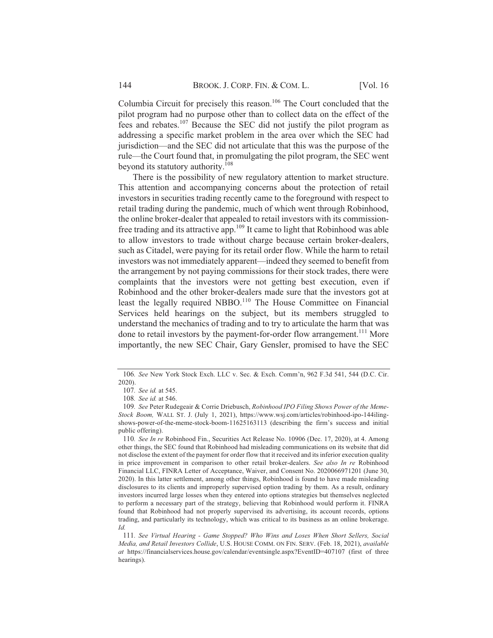Columbia Circuit for precisely this reason.<sup>106</sup> The Court concluded that the pilot program had no purpose other than to collect data on the effect of the phot program had no purpose other than to correct data on the effect of the fees and rebates.<sup>107</sup> Because the SEC did not justify the pilot program as addressing a specific market problem in the area over which the SEC had addressing a spectric market problem in the area over which the SEC had<br>iurisdiction—and the SEC did not articulate that this was the purpose of the furnal different and the set and the and the different and this was the purpose of the rule—the Court found that, in promulgating the pilot program, the SEC went rure—ure Court round that, in pr<br>bevond its statutory authority.<sup>108</sup>

There is the possibility of new regulatory attention to market structure. This attention and accompanying concerns about the protection of retail investors in securities trading recently came to the foreground with respect to retail trading during the pandemic, much of which went through Robinhood, the online broker-dealer that appealed to retail investors with its commission-The official contract that appeared to retain investors with its commission-<br>free trading and its attractive app.  $109$  It came to light that Robinhood was able to allow investors to trade without charge because certain broker-dealers, such as Citadel, were paying for its retail order flow. While the harm to retail such as Chadel, were paying for its retail order flow. While the harm to retail<br>investors was not immediately apparent—indeed they seemed to benefit from the arrangement by not paying commissions for their stock trades, there were complaints that the investors were not getting best execution, even if Robinhood and the other broker-dealers made sure that the investors got at Robinhood and the other broker-dealers made sure that the investors got at<br>least the legally required NBBO.<sup>110</sup> The House Committee on Financial Services held hearings on the subject, but its members struggled to Services held hearings on the subject, but its members sudgeted to<br>understand the mechanics of trading and to try to articulate the harm that was understand the mechanics of trading and to try to articulate the narm that was<br>done to retail investors by the payment-for-order flow arrangement.<sup>111</sup> More importantly, the new SEC Chair, Gary Gensler, promised to have the SEC

<sup>106.</sup> See New York Stock Exch. LLC v. Sec. & Exch. Comm'n. 962 F.3d 541, 544 (D.C. Cir. 2020).

<sup>&</sup>lt;sub>J20).</sub><br>107. *See id*. at 545.

<sup>107.</sup> *See 1a*. at 545.<br>108. *See id.* at 546.

<sup>108.</sup> *See 1d*. at 546.<br>109. *See* Peter Rudegeair & Corrie Driebusch. R*obinhood IPO Filing Shows Power of the Meme-About the meme-Stock Boom, WALL ST. J.* (July 1, 2021), https://www.wsj.com/articles/robinhood-ipo-144ilingshows-power-of-the-meme-stock-boom-11625163113 (describing the firm's success and initial public offering).

lonc offering).<br>110. *See In re* Robinhood Fin.. Securities Act Release No. 10906 (Dec. 17, 2020), at 4. Among other things, the SEC found that Robinhood had misleading communications on its website that did other things, the SEC found that Robinhood had inisteading communications on its website that did<br>not disclose the extent of the payment for order flow that it received and its inferior execution quality not disclose the extent of the payment for order now that it received and its inferior execution quality<br>in price improvement in comparison to other retail broker-dealers. *See also In re* Robinhood Financial LLC, FINRA Letter of Acceptance, Waiver, and Consent No. 2020066971201 (June 30, 2020). In this latter settlement, among other things, Robinhood is found to have made misleading zozo), in uns fauer setuement, among outer unitgs, roommood is found to have made infsteading<br>disclosures to its clients and improperly supervised option trading by them. As a result, ordinary investors incurred large losses when they entered into options strategies but themselves neglected to perform a necessary part of the strategy, believing that Robinhood would perform it. FINRA found that Robinhood had not properly supervised its advertising, its account records, options trading, and particularly its technology, which was critical to its business as an online brokerage. *Id.* 

r.<br>111. See Virtual Hearing - Game Stopped? Who Wins and Loses When Short Sellers, Social *A* **111**. *See Firiual Hearing - Game Stoppea: Frito Wins and Loses When Short Seiters, Social 11 and Retail Investors Collide, U.S. HOUSE COMM. ON FIN. SERV. (Feb. 18, 2021), <i>available* Media, and Reidil Investors Cottale, U.S. HOUSE COMM. ON FIN. SERV. (FED. 18, 2021), available<br>at https://financialservices.house.gov/calendar/eventsingle.aspx?EventID=407107 (first of three hearings).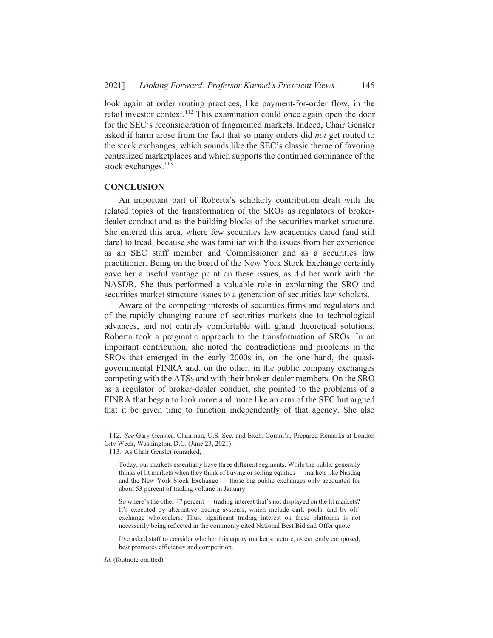look again at order routing practices, like payment-for-order flow, in the retail investor context.<sup>112</sup> This examination could once again open the door for the SEC's reconsideration of fragmented markets. Indeed, Chair Gensler In the SEC is reconsideration of fragmented markets, indeed, Chair Gensier<br>asked if harm arose from the fact that so many orders did *not* get routed to the stock exchanges, which sounds like the SEC's classic theme of favoring centralized market places and which supports the continued dominance of the centranzed marketp<br>stock exchanges.<sup>113</sup>

# **CONCLUSION**

An important part of Roberta's scholarly contribution dealt with the related topics of the transformation of the SROs as regulators of brokerdealer conduct and as the building blocks of the securities market structure. She entered this area, where few securities law academics dared (and still dare) to tread, because she was familiar with the issues from her experience as an SEC staff member and Commissioner and as a securities law practitioner. Being on the board of the New York Stock Exchange certainly gave her a useful vantage point on these issues, as did her work with the NASDR. She thus performed a valuable role in explaining the SRO and securities market structure issues to a generation of securities law scholars.

Aware of the competing interests of securities firms and regulators and Aware of the competing interests of securities firms and regulators and<br>of the rapidly changing nature of securities markets due to technological advances, and not entirely comfortable with grand theoretical solutions, Roberta took a pragmatic approach to the transformation of SROs. In an important contribution, she noted the contradictions and problems in the SROs that emerged in the early 2000s in, on the one hand, the quasigovernmental FINRA and, on the other, in the public company exchanges competing with the ATSs and with their broker-dealer members. On the SRO competing with the ATS and with their broker-dealer members. On the SKO<br>as a regulator of broker-dealer conduct, she pointed to the problems of a FINRA that began to look more and more like an arm of the SEC but argued that it be given time to function independently of that agency. She also

So where's the other 47 percent — trading interest that's not displayed on the lit markets? It's executed by alternative trading systems, which include dark pools, and by offexchange wholesalers. Thus, significant trading interest on these platforms is not necessarily being reflected in the commonly cited National Best Bid and Offer quote.

I've asked staff to consider whether this equity market structure, as currently composed, best promotes efficiency and competition.

Id. (footnote omitted).

<sup>112.</sup> See Gary Gensler, Chairman, U.S. Sec. and Exch. Comm'n, Prepared Remarks at London City Week, Washington, D.C. (June 23, 2021).

<sup>113.</sup> As Chair Gensler remarked,

Today, our markets essentially have three different segments. While the public generally Today, our markets essentiarly have three unferent segments. While the public generally<br>thinks of lit markets when they think of buving or selling equities — markets like Nasdaq uniks of it markets when they unik of ouying of semig equities — markets like ivasuaqued for<br>and the New York Stock Exchange — those big public exchanges only accounted for about 53 percent of trading volume in January.